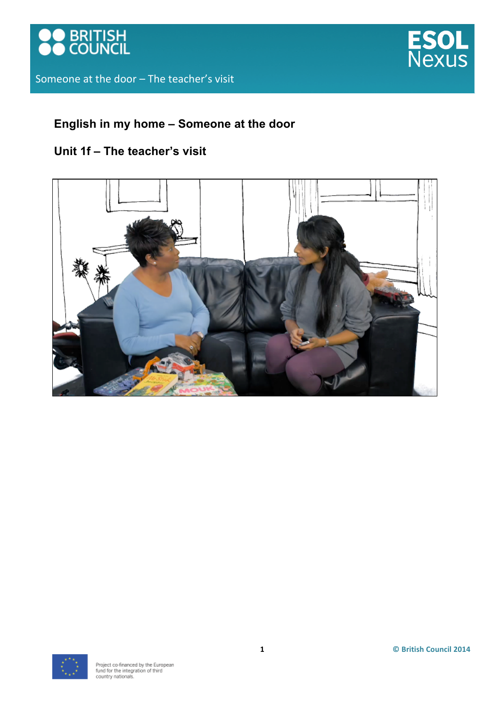



## **English in my home – Someone at the door**

## **Unit 1f – The teacher's visit**



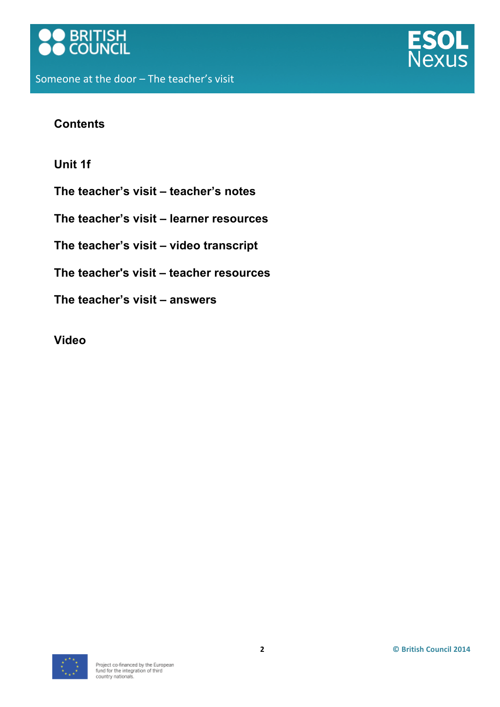



## **Contents**

**Unit 1f**

**The teacher's visit – teacher's notes**

**The teacher's visit – learner resources**

**The teacher's visit – video transcript**

**The teacher's visit – teacher resources**

**The teacher's visit – answers** 

**Video**

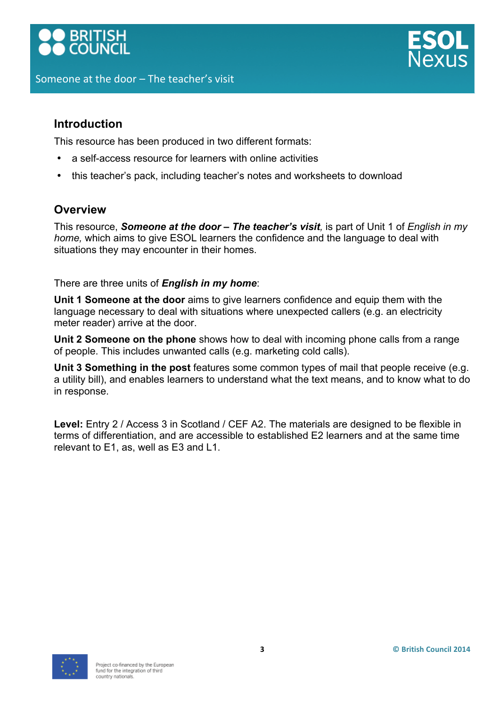# **BRITISH**<br>COUNCIL



## **Introduction**

This resource has been produced in two different formats:

- a self-access resource for learners with online activities
- this teacher's pack, including teacher's notes and worksheets to download

## **Overview**

This resource, *Someone at the door – The teacher's visit,* is part of Unit 1 of *English in my home,* which aims to give ESOL learners the confidence and the language to deal with situations they may encounter in their homes.

There are three units of *English in my home*:

**Unit 1 Someone at the door** aims to give learners confidence and equip them with the language necessary to deal with situations where unexpected callers (e.g. an electricity meter reader) arrive at the door.

**Unit 2 Someone on the phone** shows how to deal with incoming phone calls from a range of people. This includes unwanted calls (e.g. marketing cold calls).

**Unit 3 Something in the post** features some common types of mail that people receive (e.g. a utility bill), and enables learners to understand what the text means, and to know what to do in response.

Level: Entry 2 / Access 3 in Scotland / CEF A2. The materials are designed to be flexible in terms of differentiation, and are accessible to established E2 learners and at the same time relevant to E1, as, well as E3 and L1.

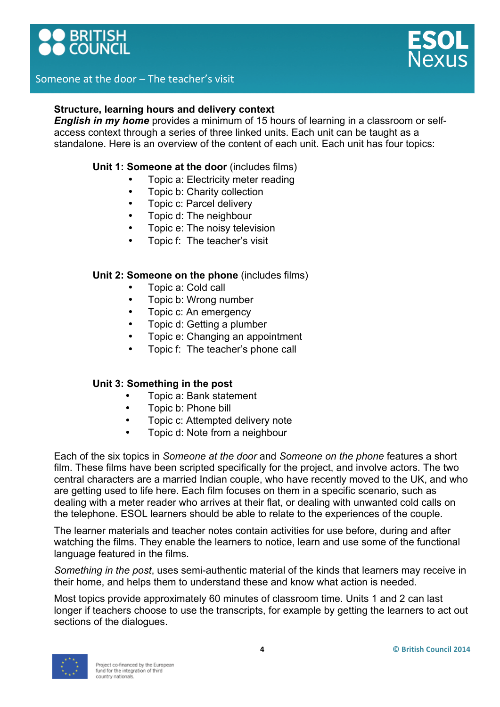



#### **Structure, learning hours and delivery context**

*English in my home* provides a minimum of 15 hours of learning in a classroom or selfaccess context through a series of three linked units. Each unit can be taught as a standalone. Here is an overview of the content of each unit. Each unit has four topics:

#### **Unit 1: Someone at the door** (includes films)

- Topic a: Electricity meter reading
- Topic b: Charity collection
- Topic c: Parcel delivery
- Topic d: The neighbour
- Topic e: The noisy television
- Topic f: The teacher's visit

#### **Unit 2: Someone on the phone** (includes films)

- Topic a: Cold call
- Topic b: Wrong number
- Topic c: An emergency
- Topic d: Getting a plumber
- Topic e: Changing an appointment
- Topic f: The teacher's phone call

#### **Unit 3: Something in the post**

- Topic a: Bank statement
- Topic b: Phone bill
- Topic c: Attempted delivery note
- Topic d: Note from a neighbour

Each of the six topics in *Someone at the door* and *Someone on the phone* features a short film. These films have been scripted specifically for the project, and involve actors. The two central characters are a married Indian couple, who have recently moved to the UK, and who are getting used to life here. Each film focuses on them in a specific scenario, such as dealing with a meter reader who arrives at their flat, or dealing with unwanted cold calls on the telephone. ESOL learners should be able to relate to the experiences of the couple.

The learner materials and teacher notes contain activities for use before, during and after watching the films. They enable the learners to notice, learn and use some of the functional language featured in the films.

*Something in the post*, uses semi-authentic material of the kinds that learners may receive in their home, and helps them to understand these and know what action is needed.

Most topics provide approximately 60 minutes of classroom time. Units 1 and 2 can last longer if teachers choose to use the transcripts, for example by getting the learners to act out sections of the dialogues.

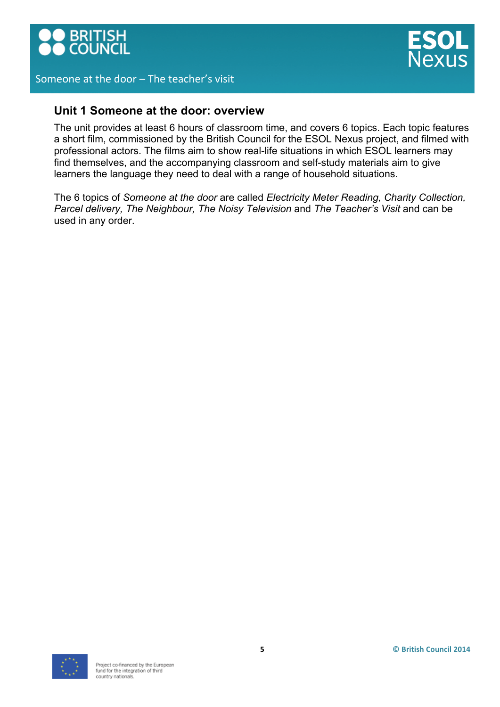



## **Unit 1 Someone at the door: overview**

The unit provides at least 6 hours of classroom time, and covers 6 topics. Each topic features a short film, commissioned by the British Council for the ESOL Nexus project, and filmed with professional actors. The films aim to show real-life situations in which ESOL learners may find themselves, and the accompanying classroom and self-study materials aim to give learners the language they need to deal with a range of household situations.

The 6 topics of *Someone at the door* are called *Electricity Meter Reading, Charity Collection, Parcel delivery, The Neighbour, The Noisy Television* and *The Teacher's Visit* and can be used in any order.

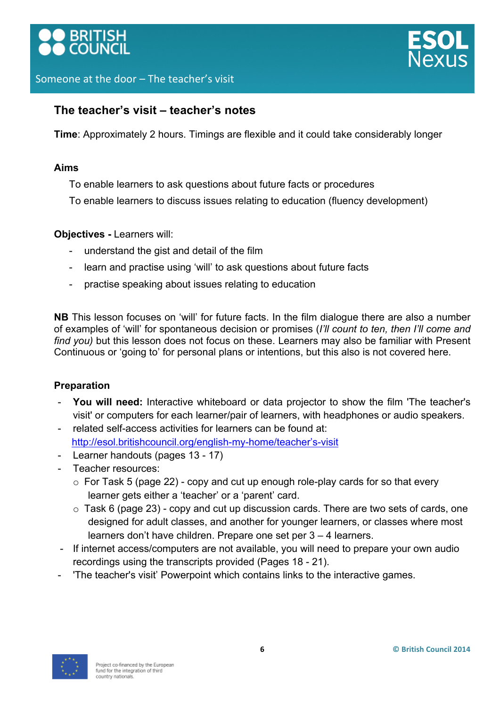



## **The teacher's visit – teacher's notes**

**Time**: Approximately 2 hours. Timings are flexible and it could take considerably longer

#### **Aims**

- To enable learners to ask questions about future facts or procedures
- To enable learners to discuss issues relating to education (fluency development)

## **Objectives -** Learners will:

- understand the gist and detail of the film
- learn and practise using 'will' to ask questions about future facts
- practise speaking about issues relating to education

**NB** This lesson focuses on 'will' for future facts. In the film dialogue there are also a number of examples of 'will' for spontaneous decision or promises (*I'll count to ten, then I'll come and find you)* but this lesson does not focus on these. Learners may also be familiar with Present Continuous or 'going to' for personal plans or intentions, but this also is not covered here.

## **Preparation**

- You will need: Interactive whiteboard or data projector to show the film 'The teacher's visit' or computers for each learner/pair of learners, with headphones or audio speakers.
- related self-access activities for learners can be found at: http://esol.britishcouncil.org/english-my-home/teacher's-visit
- Learner handouts (pages 13 17)
- Teacher resources:
	- $\circ$  For Task 5 (page 22) copy and cut up enough role-play cards for so that every learner gets either a 'teacher' or a 'parent' card.
	- $\circ$  Task 6 (page 23) copy and cut up discussion cards. There are two sets of cards, one designed for adult classes, and another for younger learners, or classes where most learners don't have children. Prepare one set per 3 – 4 learners.
- If internet access/computers are not available, you will need to prepare your own audio recordings using the transcripts provided (Pages 18 - 21).
- 'The teacher's visit' Powerpoint which contains links to the interactive games.

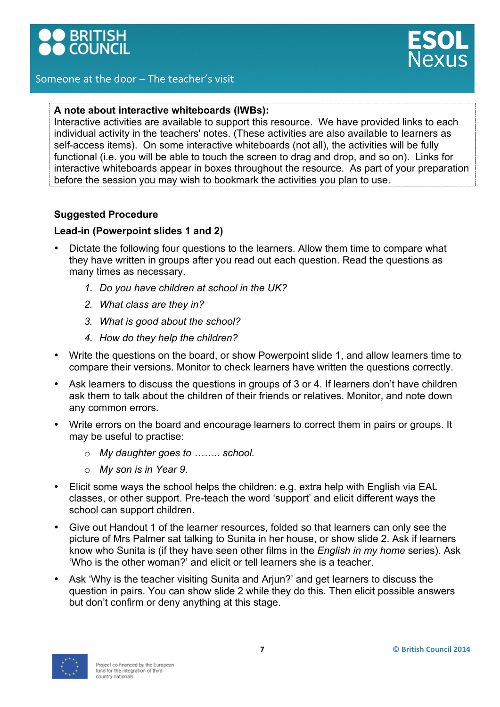

## **A note about interactive whiteboards (IWBs):**

Interactive activities are available to support this resource. We have provided links to each individual activity in the teachers' notes. (These activities are also available to learners as self-access items). On some interactive whiteboards (not all), the activities will be fully functional (i.e. you will be able to touch the screen to drag and drop, and so on). Links for interactive whiteboards appear in boxes throughout the resource. As part of your preparation before the session you may wish to bookmark the activities you plan to use.

## **Suggested Procedure**

## **Lead-in (Powerpoint slides 1 and 2)**

- Dictate the following four questions to the learners. Allow them time to compare what they have written in groups after you read out each question. Read the questions as many times as necessary.
	- *1. Do you have children at school in the UK?*
	- *2. What class are they in?*
	- *3. What is good about the school?*
	- *4. How do they help the children?*
- Write the questions on the board, or show Powerpoint slide 1, and allow learners time to compare their versions. Monitor to check learners have written the questions correctly.
- Ask learners to discuss the questions in groups of 3 or 4. If learners don't have children ask them to talk about the children of their friends or relatives. Monitor, and note down any common errors.
- Write errors on the board and encourage learners to correct them in pairs or groups. It may be useful to practise:
	- o *My daughter goes to …….. school.*
	- o *My son is in Year 9.*
- Elicit some ways the school helps the children: e.g. extra help with English via EAL classes, or other support. Pre-teach the word 'support' and elicit different ways the school can support children.
- Give out Handout 1 of the learner resources, folded so that learners can only see the picture of Mrs Palmer sat talking to Sunita in her house, or show slide 2. Ask if learners know who Sunita is (if they have seen other films in the *English in my home* series). Ask 'Who is the other woman?' and elicit or tell learners she is a teacher.
- Ask 'Why is the teacher visiting Sunita and Arjun?' and get learners to discuss the question in pairs. You can show slide 2 while they do this. Then elicit possible answers but don't confirm or deny anything at this stage.

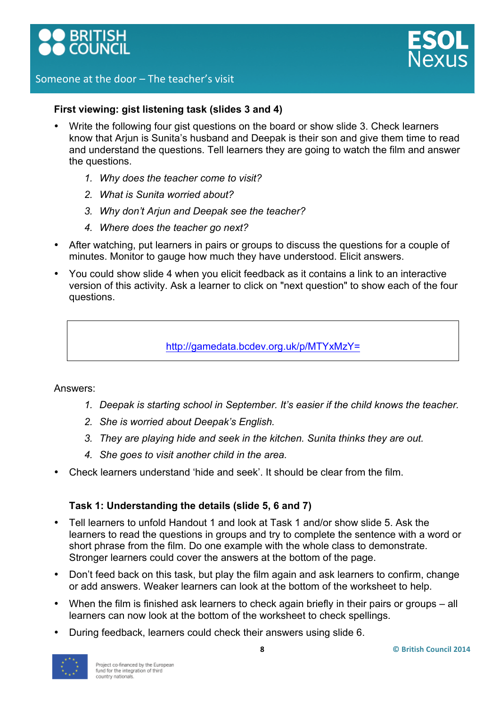



#### **First viewing: gist listening task (slides 3 and 4)**

- Write the following four gist questions on the board or show slide 3. Check learners know that Arjun is Sunita's husband and Deepak is their son and give them time to read and understand the questions. Tell learners they are going to watch the film and answer the questions.
	- *1. Why does the teacher come to visit?*
	- *2. What is Sunita worried about?*
	- *3. Why don't Arjun and Deepak see the teacher?*
	- *4. Where does the teacher go next?*
- After watching, put learners in pairs or groups to discuss the questions for a couple of minutes. Monitor to gauge how much they have understood. Elicit answers.
- You could show slide 4 when you elicit feedback as it contains a link to an interactive version of this activity. Ask a learner to click on "next question" to show each of the four questions.

http://gamedata.bcdev.org.uk/p/MTYxMzY=

#### Answers:

- *1. Deepak is starting school in September. It's easier if the child knows the teacher.*
- *2. She is worried about Deepak's English.*
- *3. They are playing hide and seek in the kitchen. Sunita thinks they are out.*
- *4. She goes to visit another child in the area.*
- Check learners understand 'hide and seek'. It should be clear from the film.

#### **Task 1: Understanding the details (slide 5, 6 and 7)**

- Tell learners to unfold Handout 1 and look at Task 1 and/or show slide 5. Ask the learners to read the questions in groups and try to complete the sentence with a word or short phrase from the film. Do one example with the whole class to demonstrate. Stronger learners could cover the answers at the bottom of the page.
- Don't feed back on this task, but play the film again and ask learners to confirm, change or add answers. Weaker learners can look at the bottom of the worksheet to help.
- When the film is finished ask learners to check again briefly in their pairs or groups all learners can now look at the bottom of the worksheet to check spellings.
- During feedback, learners could check their answers using slide 6.

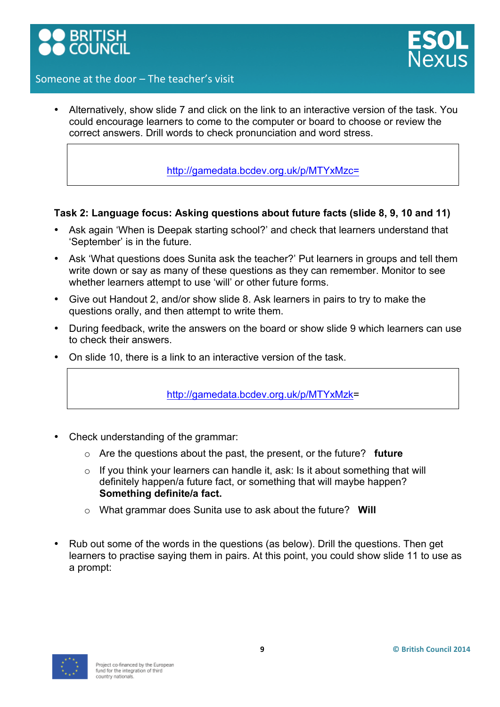



• Alternatively, show slide 7 and click on the link to an interactive version of the task. You could encourage learners to come to the computer or board to choose or review the correct answers. Drill words to check pronunciation and word stress.

http://gamedata.bcdev.org.uk/p/MTYxMzc=

#### **Task 2: Language focus: Asking questions about future facts (slide 8, 9, 10 and 11)**

- Ask again 'When is Deepak starting school?' and check that learners understand that 'September' is in the future.
- Ask 'What questions does Sunita ask the teacher?' Put learners in groups and tell them write down or say as many of these questions as they can remember. Monitor to see whether learners attempt to use 'will' or other future forms.
- Give out Handout 2, and/or show slide 8. Ask learners in pairs to try to make the questions orally, and then attempt to write them.
- During feedback, write the answers on the board or show slide 9 which learners can use to check their answers.
- On slide 10, there is a link to an interactive version of the task.

http://gamedata.bcdev.org.uk/p/MTYxMzk=

- Check understanding of the grammar:
	- o Are the questions about the past, the present, or the future? **future**
	- o If you think your learners can handle it, ask: Is it about something that will definitely happen/a future fact, or something that will maybe happen? **Something definite/a fact.**
	- o What grammar does Sunita use to ask about the future? **Will**
- Rub out some of the words in the questions (as below). Drill the questions. Then get learners to practise saying them in pairs. At this point, you could show slide 11 to use as a prompt:

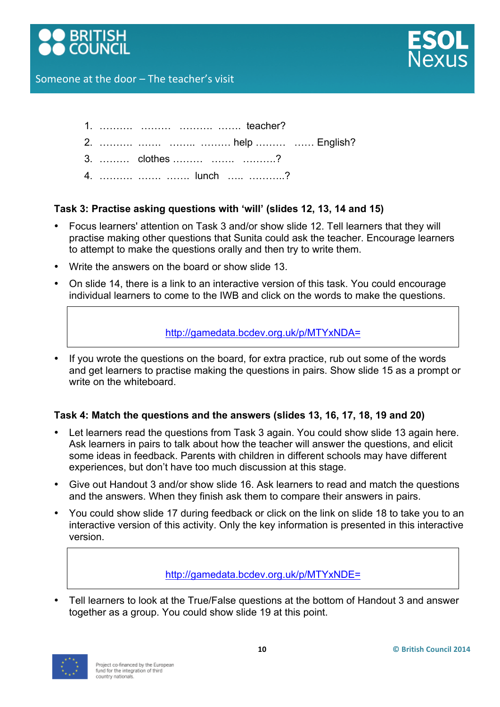



- 1. ………. ……… ………. ……. teacher?
- 2. ………. ……. …….. ……… help ……… …… English?
- 3. ……… clothes ……… ……. ……….?
- 4. ………. ……. ……. lunch ….. ………..?

## **Task 3: Practise asking questions with 'will' (slides 12, 13, 14 and 15)**

- Focus learners' attention on Task 3 and/or show slide 12. Tell learners that they will practise making other questions that Sunita could ask the teacher. Encourage learners to attempt to make the questions orally and then try to write them.
- Write the answers on the board or show slide 13.
- On slide 14, there is a link to an interactive version of this task. You could encourage individual learners to come to the IWB and click on the words to make the questions.

## http://gamedata.bcdev.org.uk/p/MTYxNDA=

If you wrote the questions on the board, for extra practice, rub out some of the words and get learners to practise making the questions in pairs. Show slide 15 as a prompt or write on the whiteboard.

## **Task 4: Match the questions and the answers (slides 13, 16, 17, 18, 19 and 20)**

- Let learners read the questions from Task 3 again. You could show slide 13 again here. Ask learners in pairs to talk about how the teacher will answer the questions, and elicit some ideas in feedback. Parents with children in different schools may have different experiences, but don't have too much discussion at this stage.
- Give out Handout 3 and/or show slide 16. Ask learners to read and match the questions and the answers. When they finish ask them to compare their answers in pairs.
- You could show slide 17 during feedback or click on the link on slide 18 to take you to an interactive version of this activity. Only the key information is presented in this interactive version.

## http://gamedata.bcdev.org.uk/p/MTYxNDE=

• Tell learners to look at the True/False questions at the bottom of Handout 3 and answer together as a group. You could show slide 19 at this point.

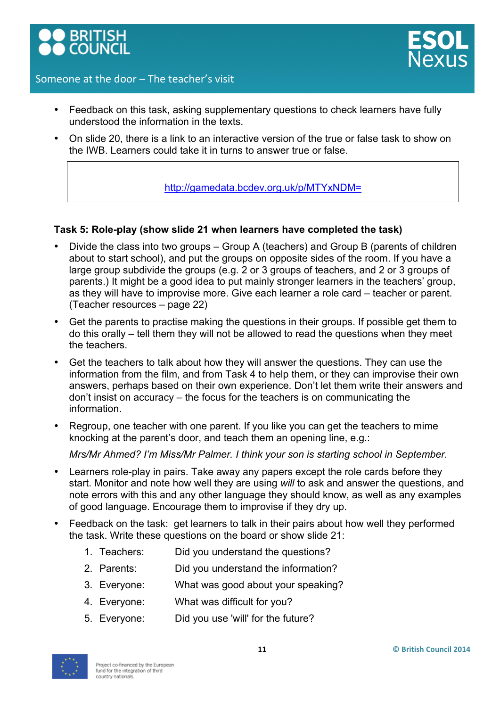

- 
- Feedback on this task, asking supplementary questions to check learners have fully understood the information in the texts.
- On slide 20, there is a link to an interactive version of the true or false task to show on the IWB. Learners could take it in turns to answer true or false.

http://gamedata.bcdev.org.uk/p/MTYxNDM=

## **Task 5: Role-play (show slide 21 when learners have completed the task)**

- Divide the class into two groups Group A (teachers) and Group B (parents of children about to start school), and put the groups on opposite sides of the room. If you have a large group subdivide the groups (e.g. 2 or 3 groups of teachers, and 2 or 3 groups of parents.) It might be a good idea to put mainly stronger learners in the teachers' group, as they will have to improvise more. Give each learner a role card – teacher or parent. (Teacher resources – page 22)
- Get the parents to practise making the questions in their groups. If possible get them to do this orally – tell them they will not be allowed to read the questions when they meet the teachers.
- Get the teachers to talk about how they will answer the questions. They can use the information from the film, and from Task 4 to help them, or they can improvise their own answers, perhaps based on their own experience. Don't let them write their answers and don't insist on accuracy – the focus for the teachers is on communicating the information.
- Regroup, one teacher with one parent. If you like you can get the teachers to mime knocking at the parent's door, and teach them an opening line, e.g.:

*Mrs/Mr Ahmed? I'm Miss/Mr Palmer. I think your son is starting school in September.*

- Learners role-play in pairs. Take away any papers except the role cards before they start. Monitor and note how well they are using *will* to ask and answer the questions, and note errors with this and any other language they should know, as well as any examples of good language. Encourage them to improvise if they dry up.
- Feedback on the task: get learners to talk in their pairs about how well they performed the task. Write these questions on the board or show slide 21:
	- 1. Teachers: Did you understand the questions?
	- 2. Parents: Did you understand the information?
	- 3. Everyone: What was good about your speaking?
	- 4. Everyone: What was difficult for you?
	- 5. Everyone: Did you use 'will' for the future?

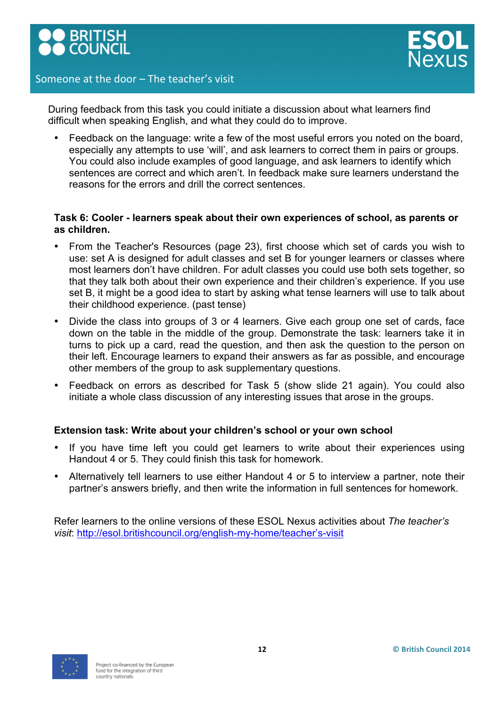



During feedback from this task you could initiate a discussion about what learners find difficult when speaking English, and what they could do to improve.

• Feedback on the language: write a few of the most useful errors you noted on the board, especially any attempts to use 'will', and ask learners to correct them in pairs or groups. You could also include examples of good language, and ask learners to identify which sentences are correct and which aren't. In feedback make sure learners understand the reasons for the errors and drill the correct sentences.

#### **Task 6: Cooler - learners speak about their own experiences of school, as parents or as children.**

- From the Teacher's Resources (page 23), first choose which set of cards you wish to use: set A is designed for adult classes and set B for younger learners or classes where most learners don't have children. For adult classes you could use both sets together, so that they talk both about their own experience and their children's experience. If you use set B, it might be a good idea to start by asking what tense learners will use to talk about their childhood experience. (past tense)
- Divide the class into groups of 3 or 4 learners. Give each group one set of cards, face down on the table in the middle of the group. Demonstrate the task: learners take it in turns to pick up a card, read the question, and then ask the question to the person on their left. Encourage learners to expand their answers as far as possible, and encourage other members of the group to ask supplementary questions.
- Feedback on errors as described for Task 5 (show slide 21 again). You could also initiate a whole class discussion of any interesting issues that arose in the groups.

#### **Extension task: Write about your children's school or your own school**

- If you have time left you could get learners to write about their experiences using Handout 4 or 5. They could finish this task for homework.
- Alternatively tell learners to use either Handout 4 or 5 to interview a partner, note their partner's answers briefly, and then write the information in full sentences for homework.

Refer learners to the online versions of these ESOL Nexus activities about *The teacher's visit*: http://esol.britishcouncil.org/english-my-home/teacher's-visit

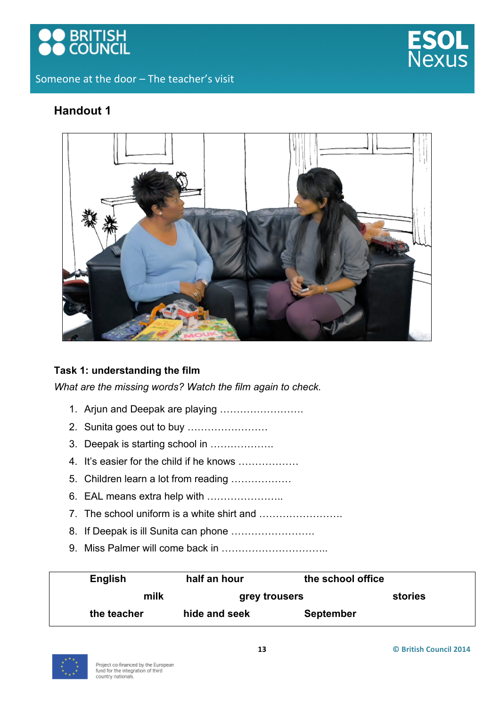



## **Handout 1**



## **Task 1: understanding the film**

*What are the missing words? Watch the film again to check.* 

- 1. Arjun and Deepak are playing …………………….
- 2. Sunita goes out to buy ……………………
- 3. Deepak is starting school in ……………….
- 4. It's easier for the child if he knows ………………
- 5. Children learn a lot from reading ………………
- 6. EAL means extra help with …………………..
- 7. The school uniform is a white shirt and …………………….
- 8. If Deepak is ill Sunita can phone .........................
- 9. Miss Palmer will come back in …………………………..

| English     | half an hour  | the school office |         |
|-------------|---------------|-------------------|---------|
| milk        | grey trousers |                   | stories |
| the teacher | hide and seek | <b>September</b>  |         |

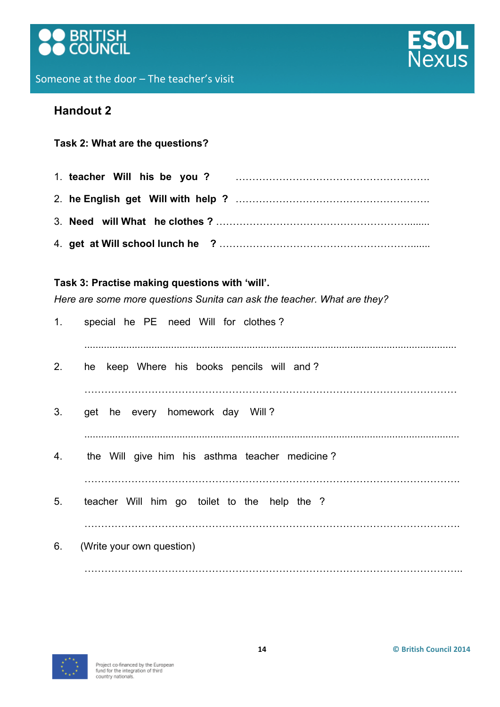



## **Task 2: What are the questions?**

## **Task 3: Practise making questions with 'will'.**

*Here are some more questions Sunita can ask the teacher. What are they?*

| 1. | special he PE need Will for clothes?           |
|----|------------------------------------------------|
| 2. | keep Where his books pencils will and?<br>he   |
| 3. | get he every homework day Will?                |
| 4. | the Will give him his asthma teacher medicine? |
| 5. | teacher Will him go toilet to the help the ?   |
| 6. | (Write your own question)                      |
|    |                                                |

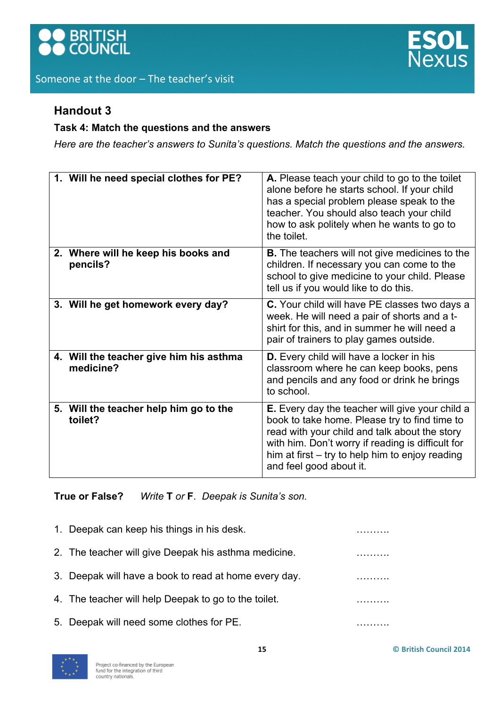



## **Task 4: Match the questions and the answers**

*Here are the teacher's answers to Sunita's questions. Match the questions and the answers.*

| 1. Will he need special clothes for PE?              | A. Please teach your child to go to the toilet<br>alone before he starts school. If your child<br>has a special problem please speak to the<br>teacher. You should also teach your child<br>how to ask politely when he wants to go to<br>the toilet.                                |
|------------------------------------------------------|--------------------------------------------------------------------------------------------------------------------------------------------------------------------------------------------------------------------------------------------------------------------------------------|
| 2. Where will he keep his books and<br>pencils?      | <b>B.</b> The teachers will not give medicines to the<br>children. If necessary you can come to the<br>school to give medicine to your child. Please<br>tell us if you would like to do this.                                                                                        |
| 3. Will he get homework every day?                   | C. Your child will have PE classes two days a<br>week. He will need a pair of shorts and a t-<br>shirt for this, and in summer he will need a<br>pair of trainers to play games outside.                                                                                             |
| 4. Will the teacher give him his asthma<br>medicine? | D. Every child will have a locker in his<br>classroom where he can keep books, pens<br>and pencils and any food or drink he brings<br>to school.                                                                                                                                     |
| 5. Will the teacher help him go to the<br>toilet?    | E. Every day the teacher will give your child a<br>book to take home. Please try to find time to<br>read with your child and talk about the story<br>with him. Don't worry if reading is difficult for<br>him at first – try to help him to enjoy reading<br>and feel good about it. |

**True or False?** *Write* **T** *or* **F**. *Deepak is Sunita's son.*

| 1. Deepak can keep his things in his desk.            |  |
|-------------------------------------------------------|--|
| 2. The teacher will give Deepak his asthma medicine.  |  |
| 3. Deepak will have a book to read at home every day. |  |
| 4. The teacher will help Deepak to go to the toilet.  |  |
| 5. Deepak will need some clothes for PE.              |  |
|                                                       |  |

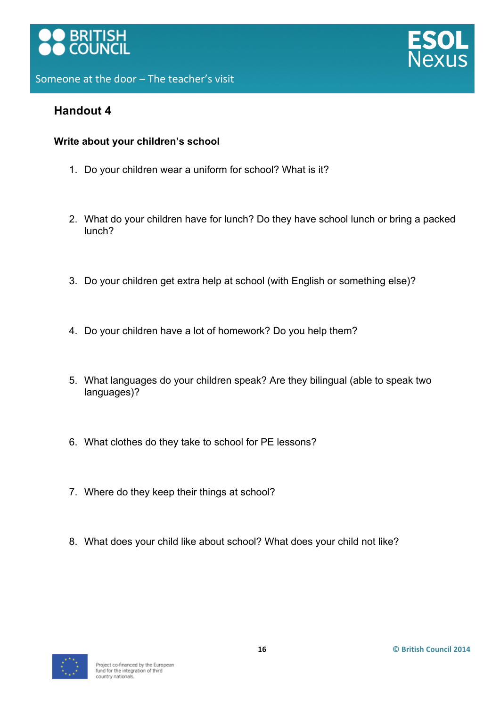





## **Write about your children's school**

- 1. Do your children wear a uniform for school? What is it?
- 2. What do your children have for lunch? Do they have school lunch or bring a packed lunch?
- 3. Do your children get extra help at school (with English or something else)?
- 4. Do your children have a lot of homework? Do you help them?
- 5. What languages do your children speak? Are they bilingual (able to speak two languages)?
- 6. What clothes do they take to school for PE lessons?
- 7. Where do they keep their things at school?
- 8. What does your child like about school? What does your child not like?

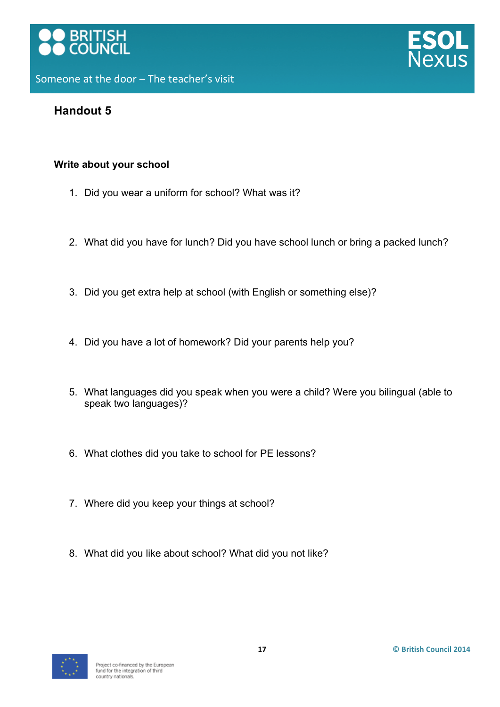



## **Write about your school**

- 1. Did you wear a uniform for school? What was it?
- 2. What did you have for lunch? Did you have school lunch or bring a packed lunch?
- 3. Did you get extra help at school (with English or something else)?
- 4. Did you have a lot of homework? Did your parents help you?
- 5. What languages did you speak when you were a child? Were you bilingual (able to speak two languages)?
- 6. What clothes did you take to school for PE lessons?
- 7. Where did you keep your things at school?
- 8. What did you like about school? What did you not like?

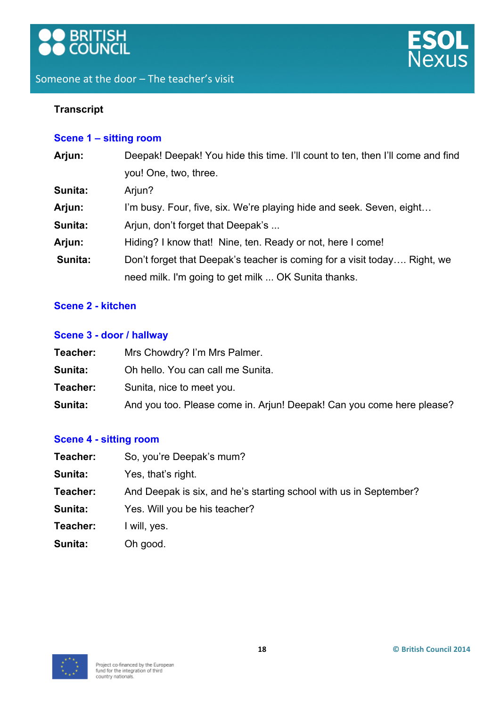



## **Transcript**

## **Scene 1 – sitting room**

| Arjun:  | Deepak! Deepak! You hide this time. I'll count to ten, then I'll come and find |  |
|---------|--------------------------------------------------------------------------------|--|
|         | you! One, two, three.                                                          |  |
| Sunita: | Arjun?                                                                         |  |
| Arjun:  | I'm busy. Four, five, six. We're playing hide and seek. Seven, eight           |  |
| Sunita: | Arjun, don't forget that Deepak's                                              |  |
| Arjun:  | Hiding? I know that! Nine, ten. Ready or not, here I come!                     |  |
| Sunita: | Don't forget that Deepak's teacher is coming for a visit today Right, we       |  |
|         | need milk. I'm going to get milk  OK Sunita thanks.                            |  |
|         |                                                                                |  |

## **Scene 2 - kitchen**

#### **Scene 3 - door / hallway**

| Teacher: | Mrs Chowdry? I'm Mrs Palmer.                                          |
|----------|-----------------------------------------------------------------------|
| Sunita:  | Oh hello. You can call me Sunita.                                     |
| Teacher: | Sunita, nice to meet you.                                             |
| Sunita:  | And you too. Please come in. Arjun! Deepak! Can you come here please? |

## **Scene 4 - sitting room**

| Teacher: | So, you're Deepak's mum?                                          |  |
|----------|-------------------------------------------------------------------|--|
| Sunita:  | Yes, that's right.                                                |  |
| Teacher: | And Deepak is six, and he's starting school with us in September? |  |
| Sunita:  | Yes. Will you be his teacher?                                     |  |
| Teacher: | I will, yes.                                                      |  |
| Sunita:  | Oh good.                                                          |  |

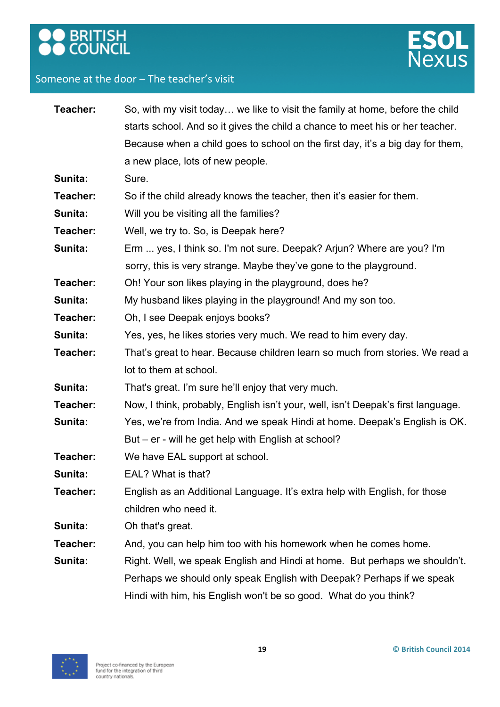



| Teacher:                                                                                 | So, with my visit today we like to visit the family at home, before the child    |  |
|------------------------------------------------------------------------------------------|----------------------------------------------------------------------------------|--|
|                                                                                          | starts school. And so it gives the child a chance to meet his or her teacher.    |  |
|                                                                                          | Because when a child goes to school on the first day, it's a big day for them,   |  |
|                                                                                          | a new place, lots of new people.                                                 |  |
| Sunita:                                                                                  | Sure.                                                                            |  |
| Teacher:                                                                                 | So if the child already knows the teacher, then it's easier for them.            |  |
| Sunita:                                                                                  | Will you be visiting all the families?                                           |  |
| Teacher:                                                                                 | Well, we try to. So, is Deepak here?                                             |  |
| Sunita:                                                                                  | Erm  yes, I think so. I'm not sure. Deepak? Arjun? Where are you? I'm            |  |
|                                                                                          | sorry, this is very strange. Maybe they've gone to the playground.               |  |
| Teacher:                                                                                 | Oh! Your son likes playing in the playground, does he?                           |  |
| Sunita:                                                                                  | My husband likes playing in the playground! And my son too.                      |  |
| Teacher:                                                                                 | Oh, I see Deepak enjoys books?                                                   |  |
| Sunita:                                                                                  | Yes, yes, he likes stories very much. We read to him every day.                  |  |
| That's great to hear. Because children learn so much from stories. We read a<br>Teacher: |                                                                                  |  |
|                                                                                          | lot to them at school.                                                           |  |
| Sunita:                                                                                  | That's great. I'm sure he'll enjoy that very much.                               |  |
| Teacher:                                                                                 | Now, I think, probably, English isn't your, well, isn't Deepak's first language. |  |
| Sunita:                                                                                  | Yes, we're from India. And we speak Hindi at home. Deepak's English is OK.       |  |
|                                                                                          | But – er - will he get help with English at school?                              |  |
| Teacher:                                                                                 | We have EAL support at school.                                                   |  |
| Sunita:                                                                                  | EAL? What is that?                                                               |  |
| Teacher:                                                                                 | English as an Additional Language. It's extra help with English, for those       |  |
|                                                                                          | children who need it.                                                            |  |
| Sunita:                                                                                  | Oh that's great.                                                                 |  |
| Teacher:                                                                                 | And, you can help him too with his homework when he comes home.                  |  |
| Sunita:                                                                                  | Right. Well, we speak English and Hindi at home. But perhaps we shouldn't.       |  |
|                                                                                          | Perhaps we should only speak English with Deepak? Perhaps if we speak            |  |
|                                                                                          | Hindi with him, his English won't be so good. What do you think?                 |  |

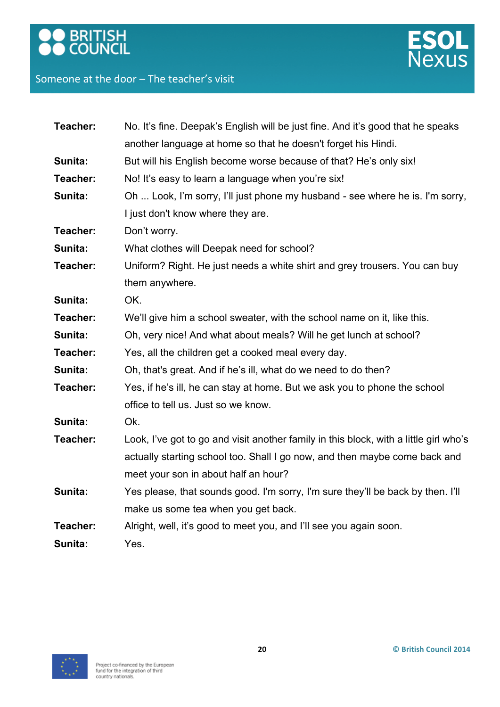## **OO** BRITISH

## Someone at the door - The teacher's visit



| Teacher: | No. It's fine. Deepak's English will be just fine. And it's good that he speaks       |  |
|----------|---------------------------------------------------------------------------------------|--|
|          | another language at home so that he doesn't forget his Hindi.                         |  |
| Sunita:  | But will his English become worse because of that? He's only six!                     |  |
| Teacher: | No! It's easy to learn a language when you're six!                                    |  |
| Sunita:  | Oh  Look, I'm sorry, I'll just phone my husband - see where he is. I'm sorry,         |  |
|          | I just don't know where they are.                                                     |  |
| Teacher: | Don't worry.                                                                          |  |
| Sunita:  | What clothes will Deepak need for school?                                             |  |
| Teacher: | Uniform? Right. He just needs a white shirt and grey trousers. You can buy            |  |
|          | them anywhere.                                                                        |  |
| Sunita:  | OK.                                                                                   |  |
| Teacher: | We'll give him a school sweater, with the school name on it, like this.               |  |
| Sunita:  | Oh, very nice! And what about meals? Will he get lunch at school?                     |  |
| Teacher: | Yes, all the children get a cooked meal every day.                                    |  |
| Sunita:  | Oh, that's great. And if he's ill, what do we need to do then?                        |  |
| Teacher: | Yes, if he's ill, he can stay at home. But we ask you to phone the school             |  |
|          | office to tell us. Just so we know.                                                   |  |
| Sunita:  | Ok.                                                                                   |  |
| Teacher: | Look, I've got to go and visit another family in this block, with a little girl who's |  |
|          | actually starting school too. Shall I go now, and then maybe come back and            |  |
|          | meet your son in about half an hour?                                                  |  |
| Sunita:  | Yes please, that sounds good. I'm sorry, I'm sure they'll be back by then. I'll       |  |
|          | make us some tea when you get back.                                                   |  |
| Teacher: | Alright, well, it's good to meet you, and I'll see you again soon.                    |  |
| Sunita:  | Yes.                                                                                  |  |

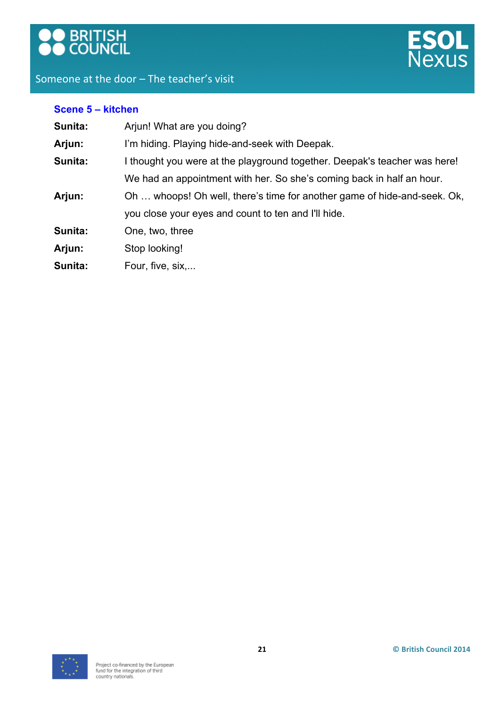



| Scene 5 - kitchen                                                                    |                                                                          |  |
|--------------------------------------------------------------------------------------|--------------------------------------------------------------------------|--|
| Sunita:                                                                              | Arjun! What are you doing?                                               |  |
| Arjun:                                                                               | I'm hiding. Playing hide-and-seek with Deepak.                           |  |
| Sunita:<br>I thought you were at the playground together. Deepak's teacher was here! |                                                                          |  |
|                                                                                      | We had an appointment with her. So she's coming back in half an hour.    |  |
| Arjun:                                                                               | Oh  whoops! Oh well, there's time for another game of hide-and-seek. Ok, |  |
|                                                                                      | you close your eyes and count to ten and I'll hide.                      |  |
| Sunita:                                                                              | One, two, three                                                          |  |
| Arjun:                                                                               | Stop looking!                                                            |  |
| Sunita:                                                                              | Four, five, six,                                                         |  |
|                                                                                      |                                                                          |  |

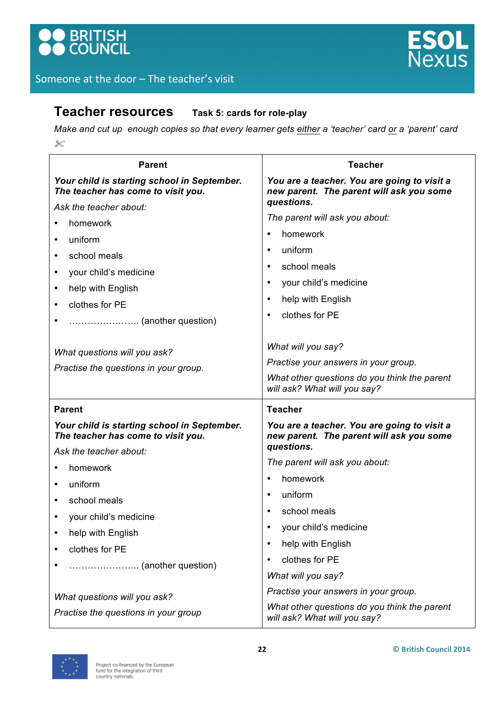

## **Teacher resources Task 5: cards for role-play**

*Make and cut up enough copies so that every learner gets either a 'teacher' card or a 'parent' card*  $\chi$ 

| <b>Parent</b>                                                                     | <b>Teacher</b>                                                                          |
|-----------------------------------------------------------------------------------|-----------------------------------------------------------------------------------------|
| Your child is starting school in September.<br>The teacher has come to visit you. | You are a teacher. You are going to visit a<br>new parent. The parent will ask you some |
| Ask the teacher about:                                                            | questions.                                                                              |
| homework                                                                          | The parent will ask you about:                                                          |
| uniform<br>$\bullet$                                                              | homework                                                                                |
| school meals<br>$\bullet$                                                         | uniform<br>٠                                                                            |
| your child's medicine<br>٠                                                        | school meals<br>$\bullet$                                                               |
| help with English<br>$\bullet$                                                    | your child's medicine<br>$\bullet$                                                      |
| clothes for PE<br>$\bullet$                                                       | help with English<br>٠                                                                  |
| (another question)<br>$\bullet$                                                   | clothes for PE<br>$\bullet$                                                             |
| What questions will you ask?                                                      | What will you say?                                                                      |
| Practise the questions in your group.                                             | Practise your answers in your group.                                                    |
|                                                                                   | What other questions do you think the parent<br>will ask? What will you say?            |
| <b>Parent</b>                                                                     | <b>Teacher</b>                                                                          |
| Your child is starting school in September.<br>The teacher has come to visit you. | You are a teacher. You are going to visit a<br>new parent. The parent will ask you some |
| Ask the teacher about:                                                            | questions.                                                                              |
| homework<br>$\bullet$                                                             | The parent will ask you about:                                                          |
| uniform<br>$\bullet$                                                              | homework<br>$\bullet$                                                                   |
| school meals<br>٠                                                                 | uniform<br>$\bullet$                                                                    |
| your child's medicine<br>٠                                                        | school meals                                                                            |
| help with English                                                                 | your child's medicine                                                                   |
| clothes for PE<br>$\bullet$                                                       | help with English<br>$\bullet$                                                          |
| (another question)                                                                | clothes for PE<br>$\bullet$                                                             |
|                                                                                   | What will you say?                                                                      |
| What questions will you ask?                                                      | Practise your answers in your group.                                                    |
| Practise the questions in your group                                              | What other questions do you think the parent<br>will ask? What will you say?            |

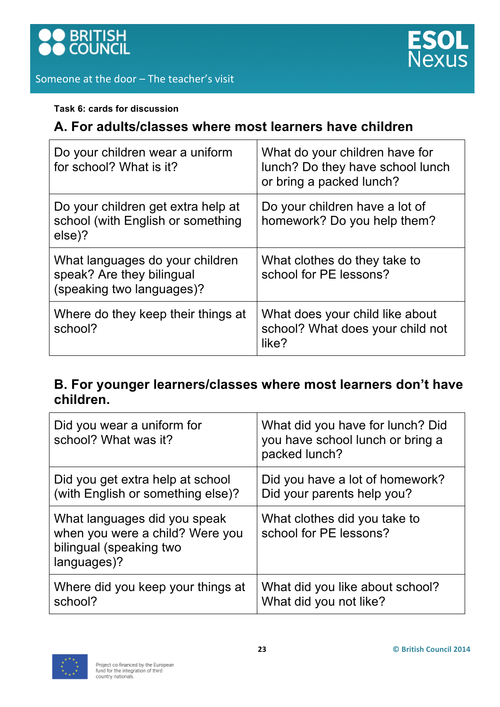





## **Task 6: cards for discussion**

## **A. For adults/classes where most learners have children**

| Do your children wear a uniform<br>for school? What is it?                                | What do your children have for<br>lunch? Do they have school lunch<br>or bring a packed lunch? |
|-------------------------------------------------------------------------------------------|------------------------------------------------------------------------------------------------|
| Do your children get extra help at<br>school (with English or something<br>else)?         | Do your children have a lot of<br>homework? Do you help them?                                  |
| What languages do your children<br>speak? Are they bilingual<br>(speaking two languages)? | What clothes do they take to<br>school for PE lessons?                                         |
| Where do they keep their things at<br>school?                                             | What does your child like about<br>school? What does your child not<br>like?                   |

## **B. For younger learners/classes where most learners don't have children.**

| Did you wear a uniform for<br>school? What was it?                                                        | What did you have for lunch? Did<br>you have school lunch or bring a<br>packed lunch? |
|-----------------------------------------------------------------------------------------------------------|---------------------------------------------------------------------------------------|
| Did you get extra help at school                                                                          | Did you have a lot of homework?                                                       |
| (with English or something else)?                                                                         | Did your parents help you?                                                            |
| What languages did you speak<br>when you were a child? Were you<br>bilingual (speaking two<br>languages)? | What clothes did you take to<br>school for PE lessons?                                |
| Where did you keep your things at                                                                         | What did you like about school?                                                       |
| school?                                                                                                   | What did you not like?                                                                |

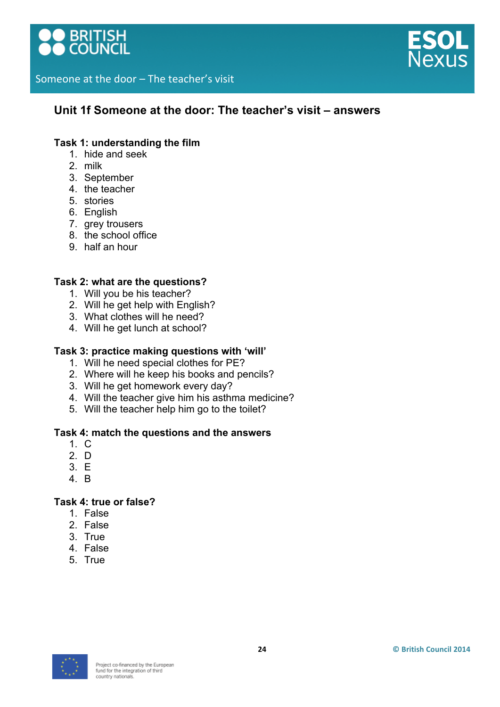



## **Unit 1f Someone at the door: The teacher's visit – answers**

## **Task 1: understanding the film**

- 1. hide and seek
- 2. milk
- 3. September
- 4. the teacher
- 5. stories
- 6. English
- 7. grey trousers
- 8. the school office
- 9. half an hour

#### **Task 2: what are the questions?**

- 1. Will you be his teacher?
- 2. Will he get help with English?
- 3. What clothes will he need?
- 4. Will he get lunch at school?

#### **Task 3: practice making questions with 'will'**

- 1. Will he need special clothes for PE?
- 2. Where will he keep his books and pencils?
- 3. Will he get homework every day?
- 4. Will the teacher give him his asthma medicine?
- 5. Will the teacher help him go to the toilet?

#### **Task 4: match the questions and the answers**

- 1. C
- 2. D
- 3. E
- 4. B

#### **Task 4: true or false?**

- 1. False
- 2. False
- 3. True
- 4. False
- 5. True